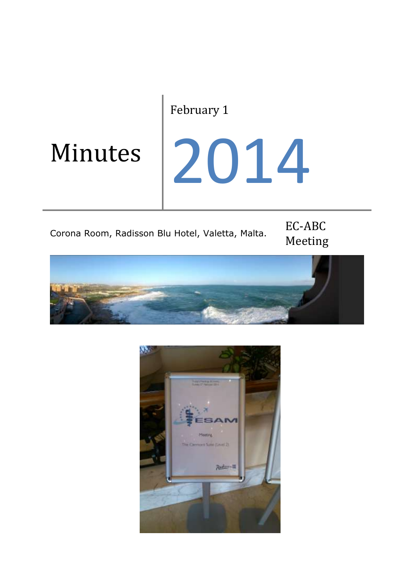### February 1

## Minutes

# 2014

## Corona Room, Radisson Blu Hotel, Valetta, Malta. EC-ABC

# Meeting



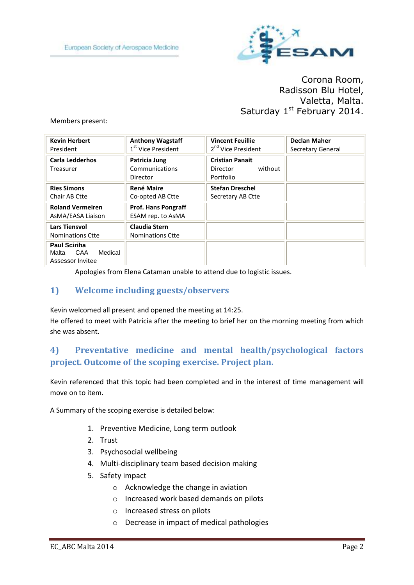

Corona Room, Radisson Blu Hotel, Valetta, Malta. Saturday 1st February 2014.

#### Members present:

| <b>Kevin Herbert</b><br>President                                  | <b>Anthony Wagstaff</b><br>1 <sup>st</sup> Vice President | <b>Vincent Feuillie</b><br>2 <sup>nd</sup> Vice President  | <b>Declan Maher</b><br>Secretary General |
|--------------------------------------------------------------------|-----------------------------------------------------------|------------------------------------------------------------|------------------------------------------|
| <b>Carla Ledderhos</b><br>Treasurer                                | Patricia Jung<br>Communications<br>Director               | <b>Cristian Panait</b><br>without<br>Director<br>Portfolio |                                          |
| <b>Ries Simons</b><br>Chair AB Ctte                                | <b>René Maire</b><br>Co-opted AB Ctte                     | <b>Stefan Dreschel</b><br>Secretary AB Ctte                |                                          |
| <b>Roland Vermeiren</b><br>AsMA/EASA Liaison                       | <b>Prof. Hans Pongraff</b><br>ESAM rep. to AsMA           |                                                            |                                          |
| <b>Lars Tiensvol</b><br><b>Nominations Ctte</b>                    | <b>Claudia Stern</b><br>Nominations Ctte                  |                                                            |                                          |
| <b>Paul Sciriha</b><br>Medical<br>CAA<br>Malta<br>Assessor Invitee |                                                           |                                                            |                                          |

Apologies from Elena Cataman unable to attend due to logistic issues.

#### **1) Welcome including guests/observers**

Kevin welcomed all present and opened the meeting at 14:25.

He offered to meet with Patricia after the meeting to brief her on the morning meeting from which she was absent.

#### **4) Preventative medicine and mental health/psychological factors project. Outcome of the scoping exercise. Project plan.**

Kevin referenced that this topic had been completed and in the interest of time management will move on to item.

A Summary of the scoping exercise is detailed below:

- 1. Preventive Medicine, Long term outlook
- 2. Trust
- 3. Psychosocial wellbeing
- 4. Multi-disciplinary team based decision making
- 5. Safety impact
	- o Acknowledge the change in aviation
	- o Increased work based demands on pilots
	- o Increased stress on pilots
	- o Decrease in impact of medical pathologies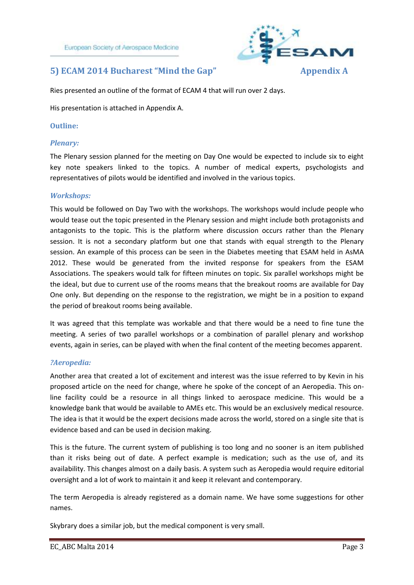

#### **5) ECAM 2014 Bucharest "Mind the Gap" Appendix A**

Ries presented an outline of the format of ECAM 4 that will run over 2 days.

His presentation is attached in Appendix A.

#### **Outline:**

#### *Plenary:*

The Plenary session planned for the meeting on Day One would be expected to include six to eight key note speakers linked to the topics. A number of medical experts, psychologists and representatives of pilots would be identified and involved in the various topics.

#### *Workshops:*

This would be followed on Day Two with the workshops. The workshops would include people who would tease out the topic presented in the Plenary session and might include both protagonists and antagonists to the topic. This is the platform where discussion occurs rather than the Plenary session. It is not a secondary platform but one that stands with equal strength to the Plenary session. An example of this process can be seen in the Diabetes meeting that ESAM held in AsMA 2012. These would be generated from the invited response for speakers from the ESAM Associations. The speakers would talk for fifteen minutes on topic. Six parallel workshops might be the ideal, but due to current use of the rooms means that the breakout rooms are available for Day One only. But depending on the response to the registration, we might be in a position to expand the period of breakout rooms being available.

It was agreed that this template was workable and that there would be a need to fine tune the meeting. A series of two parallel workshops or a combination of parallel plenary and workshop events, again in series, can be played with when the final content of the meeting becomes apparent.

#### *?Aeropedia:*

Another area that created a lot of excitement and interest was the issue referred to by Kevin in his proposed article on the need for change, where he spoke of the concept of an Aeropedia. This online facility could be a resource in all things linked to aerospace medicine. This would be a knowledge bank that would be available to AMEs etc. This would be an exclusively medical resource. The idea is that it would be the expert decisions made across the world, stored on a single site that is evidence based and can be used in decision making.

This is the future. The current system of publishing is too long and no sooner is an item published than it risks being out of date. A perfect example is medication; such as the use of, and its availability. This changes almost on a daily basis. A system such as Aeropedia would require editorial oversight and a lot of work to maintain it and keep it relevant and contemporary.

The term Aeropedia is already registered as a domain name. We have some suggestions for other names.

Skybrary does a similar job, but the medical component is very small.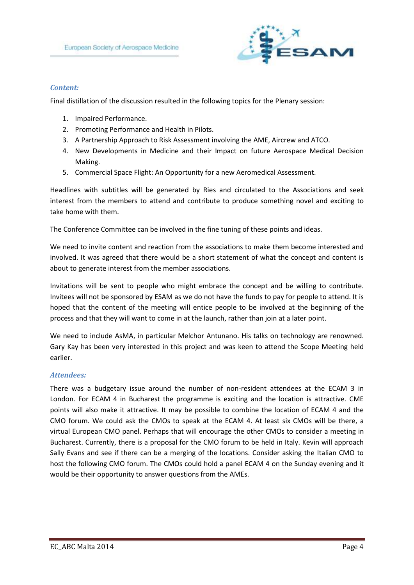

#### *Content:*

Final distillation of the discussion resulted in the following topics for the Plenary session:

- 1. Impaired Performance.
- 2. Promoting Performance and Health in Pilots.
- 3. A Partnership Approach to Risk Assessment involving the AME, Aircrew and ATCO.
- 4. New Developments in Medicine and their Impact on future Aerospace Medical Decision Making.
- 5. Commercial Space Flight: An Opportunity for a new Aeromedical Assessment.

Headlines with subtitles will be generated by Ries and circulated to the Associations and seek interest from the members to attend and contribute to produce something novel and exciting to take home with them.

The Conference Committee can be involved in the fine tuning of these points and ideas.

We need to invite content and reaction from the associations to make them become interested and involved. It was agreed that there would be a short statement of what the concept and content is about to generate interest from the member associations.

Invitations will be sent to people who might embrace the concept and be willing to contribute. Invitees will not be sponsored by ESAM as we do not have the funds to pay for people to attend. It is hoped that the content of the meeting will entice people to be involved at the beginning of the process and that they will want to come in at the launch, rather than join at a later point.

We need to include AsMA, in particular Melchor Antunano. His talks on technology are renowned. Gary Kay has been very interested in this project and was keen to attend the Scope Meeting held earlier.

#### *Attendees:*

There was a budgetary issue around the number of non-resident attendees at the ECAM 3 in London. For ECAM 4 in Bucharest the programme is exciting and the location is attractive. CME points will also make it attractive. It may be possible to combine the location of ECAM 4 and the CMO forum. We could ask the CMOs to speak at the ECAM 4. At least six CMOs will be there, a virtual European CMO panel. Perhaps that will encourage the other CMOs to consider a meeting in Bucharest. Currently, there is a proposal for the CMO forum to be held in Italy. Kevin will approach Sally Evans and see if there can be a merging of the locations. Consider asking the Italian CMO to host the following CMO forum. The CMOs could hold a panel ECAM 4 on the Sunday evening and it would be their opportunity to answer questions from the AMEs.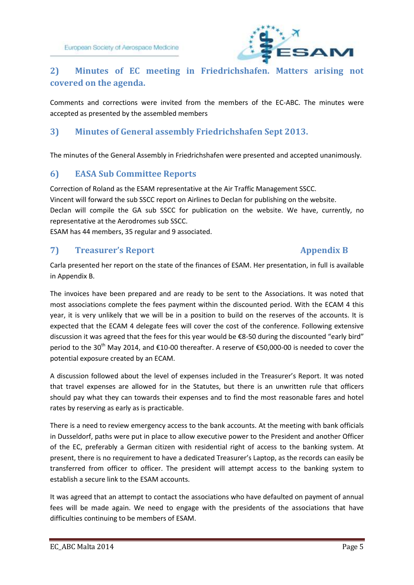

#### **2) Minutes of EC meeting in Friedrichshafen. Matters arising not covered on the agenda.**

Comments and corrections were invited from the members of the EC-ABC. The minutes were accepted as presented by the assembled members

#### **3) Minutes of General assembly Friedrichshafen Sept 2013.**

The minutes of the General Assembly in Friedrichshafen were presented and accepted unanimously.

#### **6) EASA Sub Committee Reports**

Correction of Roland as the ESAM representative at the Air Traffic Management SSCC.

Vincent will forward the sub SSCC report on Airlines to Declan for publishing on the website.

Declan will compile the GA sub SSCC for publication on the website. We have, currently, no representative at the Aerodromes sub SSCC.

ESAM has 44 members, 35 regular and 9 associated.

#### **7) Treasurer's Report Appendix B**

Carla presented her report on the state of the finances of ESAM. Her presentation, in full is available in Appendix B.

The invoices have been prepared and are ready to be sent to the Associations. It was noted that most associations complete the fees payment within the discounted period. With the ECAM 4 this year, it is very unlikely that we will be in a position to build on the reserves of the accounts. It is expected that the ECAM 4 delegate fees will cover the cost of the conference. Following extensive discussion it was agreed that the fees for this year would be €8-50 during the discounted "early bird" period to the 30<sup>th</sup> May 2014, and €10-00 thereafter. A reserve of €50,000-00 is needed to cover the potential exposure created by an ECAM.

A discussion followed about the level of expenses included in the Treasurer's Report. It was noted that travel expenses are allowed for in the Statutes, but there is an unwritten rule that officers should pay what they can towards their expenses and to find the most reasonable fares and hotel rates by reserving as early as is practicable.

There is a need to review emergency access to the bank accounts. At the meeting with bank officials in Dusseldorf, paths were put in place to allow executive power to the President and another Officer of the EC, preferably a German citizen with residential right of access to the banking system. At present, there is no requirement to have a dedicated Treasurer's Laptop, as the records can easily be transferred from officer to officer. The president will attempt access to the banking system to establish a secure link to the ESAM accounts.

It was agreed that an attempt to contact the associations who have defaulted on payment of annual fees will be made again. We need to engage with the presidents of the associations that have difficulties continuing to be members of ESAM.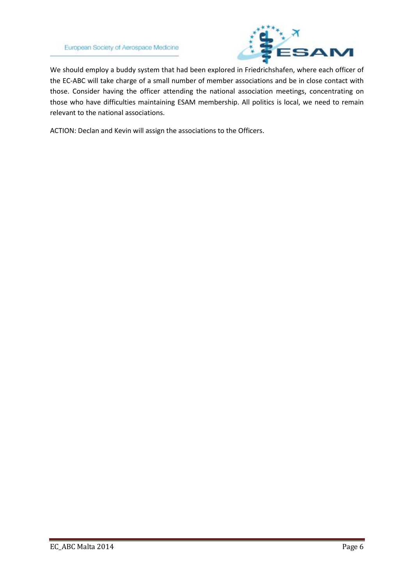

We should employ a buddy system that had been explored in Friedrichshafen, where each officer of the EC-ABC will take charge of a small number of member associations and be in close contact with those. Consider having the officer attending the national association meetings, concentrating on those who have difficulties maintaining ESAM membership. All politics is local, we need to remain relevant to the national associations.

ACTION: Declan and Kevin will assign the associations to the Officers.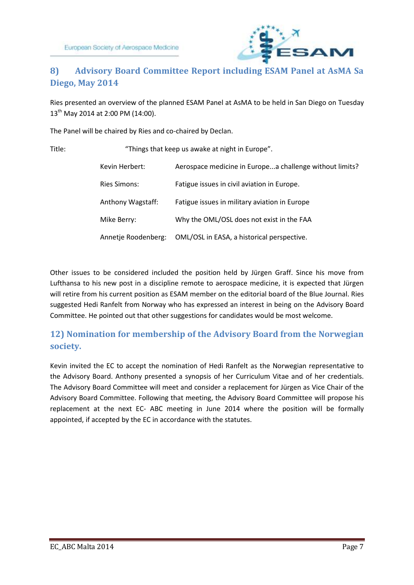

#### **8) Advisory Board Committee Report including ESAM Panel at AsMA Sa Diego, May 2014**

Ries presented an overview of the planned ESAM Panel at AsMA to be held in San Diego on Tuesday 13<sup>th</sup> May 2014 at 2:00 PM (14:00).

The Panel will be chaired by Ries and co-chaired by Declan.

| ×<br>۰. | w<br>۰. |
|---------|---------|
|         |         |

| "Things that keep us awake at night in Europe". |                                                         |  |  |  |
|-------------------------------------------------|---------------------------------------------------------|--|--|--|
| Kevin Herbert:                                  | Aerospace medicine in Europea challenge without limits? |  |  |  |
| <b>Ries Simons:</b>                             | Fatigue issues in civil aviation in Europe.             |  |  |  |
| Anthony Wagstaff:                               | Fatigue issues in military aviation in Europe           |  |  |  |
| Mike Berry:                                     | Why the OML/OSL does not exist in the FAA               |  |  |  |
| Annetje Roodenberg:                             | OML/OSL in EASA, a historical perspective.              |  |  |  |

Other issues to be considered included the position held by Jürgen Graff. Since his move from Lufthansa to his new post in a discipline remote to aerospace medicine, it is expected that Jürgen will retire from his current position as ESAM member on the editorial board of the Blue Journal. Ries suggested Hedi Ranfelt from Norway who has expressed an interest in being on the Advisory Board Committee. He pointed out that other suggestions for candidates would be most welcome.

#### **12) Nomination for membership of the Advisory Board from the Norwegian society.**

Kevin invited the EC to accept the nomination of Hedi Ranfelt as the Norwegian representative to the Advisory Board. Anthony presented a synopsis of her Curriculum Vitae and of her credentials. The Advisory Board Committee will meet and consider a replacement for Jürgen as Vice Chair of the Advisory Board Committee. Following that meeting, the Advisory Board Committee will propose his replacement at the next EC- ABC meeting in June 2014 where the position will be formally appointed, if accepted by the EC in accordance with the statutes.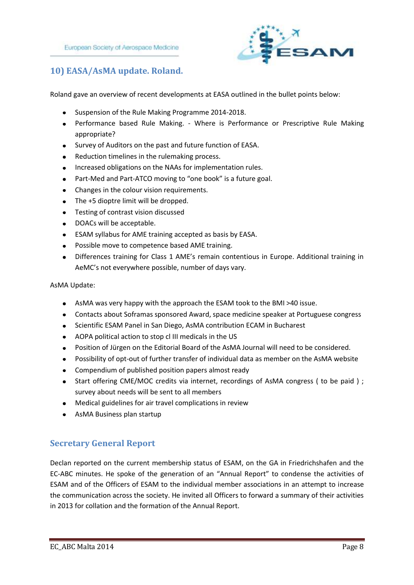

#### **10) EASA/AsMA update. Roland.**

Roland gave an overview of recent developments at EASA outlined in the bullet points below:

- Suspension of the Rule Making Programme 2014-2018.
- Performance based Rule Making. Where is Performance or Prescriptive Rule Making appropriate?
- Survey of Auditors on the past and future function of EASA.  $\bullet$
- Reduction timelines in the rulemaking process.  $\bullet$
- Increased obligations on the NAAs for implementation rules.  $\bullet$
- Part-Med and Part-ATCO moving to "one book" is a future goal.
- Changes in the colour vision requirements.  $\bullet$
- The +5 dioptre limit will be dropped.  $\bullet$
- Testing of contrast vision discussed
- DOACs will be acceptable.  $\bullet$
- ESAM syllabus for AME training accepted as basis by EASA.
- Possible move to competence based AME training.  $\bullet$
- Differences training for Class 1 AME's remain contentious in Europe. Additional training in AeMC's not everywhere possible, number of days vary.

#### AsMA Update:

- AsMA was very happy with the approach the ESAM took to the BMI >40 issue.
- Contacts about Soframas sponsored Award, space medicine speaker at Portuguese congress
- Scientific ESAM Panel in San Diego, AsMA contribution ECAM in Bucharest  $\bullet$
- AOPA political action to stop cl III medicals in the US
- Position of Jürgen on the Editorial Board of the AsMA Journal will need to be considered.  $\bullet$
- Possibility of opt-out of further transfer of individual data as member on the AsMA website
- Compendium of published position papers almost ready
- Start offering CME/MOC credits via internet, recordings of AsMA congress (to be paid); survey about needs will be sent to all members
- Medical guidelines for air travel complications in review
- AsMA Business plan startup

#### **Secretary General Report**

Declan reported on the current membership status of ESAM, on the GA in Friedrichshafen and the EC-ABC minutes. He spoke of the generation of an "Annual Report" to condense the activities of ESAM and of the Officers of ESAM to the individual member associations in an attempt to increase the communication across the society. He invited all Officers to forward a summary of their activities in 2013 for collation and the formation of the Annual Report.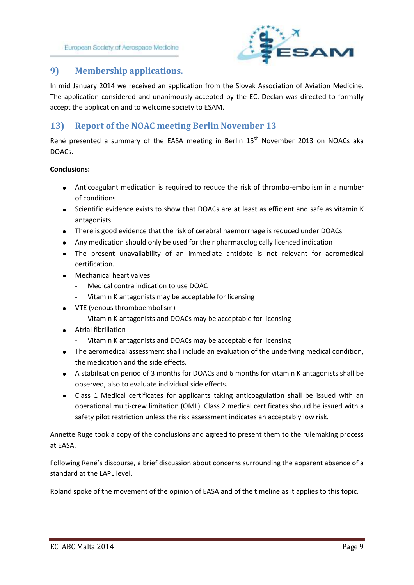European Society of Aerospace Medicine



#### **9) Membership applications.**

In mid January 2014 we received an application from the Slovak Association of Aviation Medicine. The application considered and unanimously accepted by the EC. Declan was directed to formally accept the application and to welcome society to ESAM.

#### **13) Report of the NOAC meeting Berlin November 13**

René presented a summary of the EASA meeting in Berlin 15<sup>th</sup> November 2013 on NOACs aka DOACs.

#### **Conclusions:**

- Anticoagulant medication is required to reduce the risk of thrombo-embolism in a number of conditions
- Scientific evidence exists to show that DOACs are at least as efficient and safe as vitamin K antagonists.
- There is good evidence that the risk of cerebral haemorrhage is reduced under DOACs
- Any medication should only be used for their pharmacologically licenced indication
- The present unavailability of an immediate antidote is not relevant for aeromedical certification.
- **•** Mechanical heart valves
	- Medical contra indication to use DOAC
	- Vitamin K antagonists may be acceptable for licensing
- VTE (venous thromboembolism)
	- Vitamin K antagonists and DOACs may be acceptable for licensing
- Atrial fibrillation
	- Vitamin K antagonists and DOACs may be acceptable for licensing
- The aeromedical assessment shall include an evaluation of the underlying medical condition, the medication and the side effects.
- A stabilisation period of 3 months for DOACs and 6 months for vitamin K antagonists shall be observed, also to evaluate individual side effects.
- Class 1 Medical certificates for applicants taking anticoagulation shall be issued with an operational multi-crew limitation (OML). Class 2 medical certificates should be issued with a safety pilot restriction unless the risk assessment indicates an acceptably low risk.

Annette Ruge took a copy of the conclusions and agreed to present them to the rulemaking process at EASA.

Following René's discourse, a brief discussion about concerns surrounding the apparent absence of a standard at the LAPL level.

Roland spoke of the movement of the opinion of EASA and of the timeline as it applies to this topic.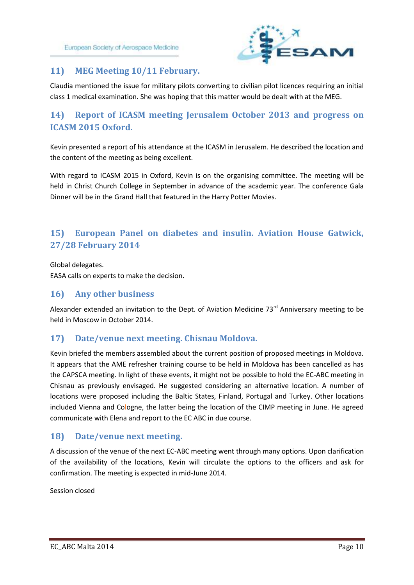

#### **11) MEG Meeting 10/11 February.**

Claudia mentioned the issue for military pilots converting to civilian pilot licences requiring an initial class 1 medical examination. She was hoping that this matter would be dealt with at the MEG.

#### **14) Report of ICASM meeting Jerusalem October 2013 and progress on ICASM 2015 Oxford.**

Kevin presented a report of his attendance at the ICASM in Jerusalem. He described the location and the content of the meeting as being excellent.

With regard to ICASM 2015 in Oxford, Kevin is on the organising committee. The meeting will be held in Christ Church College in September in advance of the academic year. The conference Gala Dinner will be in the Grand Hall that featured in the Harry Potter Movies.

#### **15) European Panel on diabetes and insulin. Aviation House Gatwick, 27/28 February 2014**

Global delegates.

EASA calls on experts to make the decision.

#### **16) Any other business**

Alexander extended an invitation to the Dept. of Aviation Medicine 73<sup>rd</sup> Anniversary meeting to be held in Moscow in October 2014.

#### **17) Date/venue next meeting. Chisnau Moldova.**

Kevin briefed the members assembled about the current position of proposed meetings in Moldova. It appears that the AME refresher training course to be held in Moldova has been cancelled as has the CAPSCA meeting. In light of these events, it might not be possible to hold the EC-ABC meeting in Chisnau as previously envisaged. He suggested considering an alternative location. A number of locations were proposed including the Baltic States, Finland, Portugal and Turkey. Other locations included Vienna and Cologne, the latter being the location of the CIMP meeting in June. He agreed communicate with Elena and report to the EC ABC in due course.

#### **18) Date/venue next meeting.**

A discussion of the venue of the next EC-ABC meeting went through many options. Upon clarification of the availability of the locations, Kevin will circulate the options to the officers and ask for confirmation. The meeting is expected in mid-June 2014.

Session closed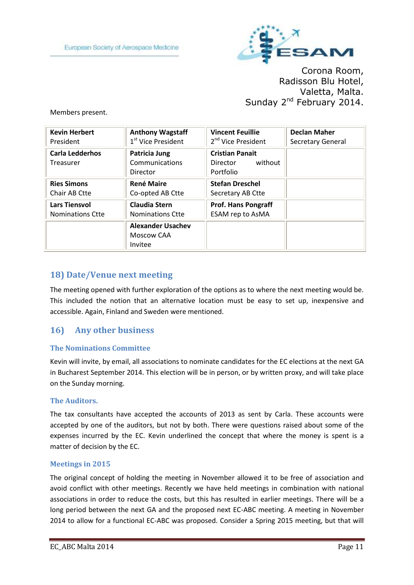

Corona Room, Radisson Blu Hotel, Valetta, Malta. Sunday 2<sup>nd</sup> February 2014.

Members present.

| <b>Kevin Herbert</b>                | <b>Anthony Wagstaff</b>                           | <b>Vincent Feuillie</b>                                    | <b>Declan Maher</b> |
|-------------------------------------|---------------------------------------------------|------------------------------------------------------------|---------------------|
| President                           | 1 <sup>st</sup> Vice President                    | 2 <sup>nd</sup> Vice President                             | Secretary General   |
| <b>Carla Ledderhos</b><br>Treasurer | Patricia Jung<br>Communications<br>Director       | <b>Cristian Panait</b><br>without<br>Director<br>Portfolio |                     |
| <b>Ries Simons</b>                  | <b>René Maire</b>                                 | <b>Stefan Dreschel</b>                                     |                     |
| Chair AB Ctte                       | Co-opted AB Ctte                                  | Secretary AB Ctte                                          |                     |
| <b>Lars Tiensvol</b>                | <b>Claudia Stern</b>                              | <b>Prof. Hans Pongraff</b>                                 |                     |
| <b>Nominations Ctte</b>             | <b>Nominations Ctte</b>                           | ESAM rep to AsMA                                           |                     |
|                                     | <b>Alexander Usachev</b><br>Moscow CAA<br>Invitee |                                                            |                     |

#### **18) Date/Venue next meeting**

The meeting opened with further exploration of the options as to where the next meeting would be. This included the notion that an alternative location must be easy to set up, inexpensive and accessible. Again, Finland and Sweden were mentioned.

#### **16) Any other business**

#### **The Nominations Committee**

Kevin will invite, by email, all associations to nominate candidates for the EC elections at the next GA in Bucharest September 2014. This election will be in person, or by written proxy, and will take place on the Sunday morning.

#### **The Auditors.**

The tax consultants have accepted the accounts of 2013 as sent by Carla. These accounts were accepted by one of the auditors, but not by both. There were questions raised about some of the expenses incurred by the EC. Kevin underlined the concept that where the money is spent is a matter of decision by the EC.

#### **Meetings in 2015**

The original concept of holding the meeting in November allowed it to be free of association and avoid conflict with other meetings. Recently we have held meetings in combination with national associations in order to reduce the costs, but this has resulted in earlier meetings. There will be a long period between the next GA and the proposed next EC-ABC meeting. A meeting in November 2014 to allow for a functional EC-ABC was proposed. Consider a Spring 2015 meeting, but that will